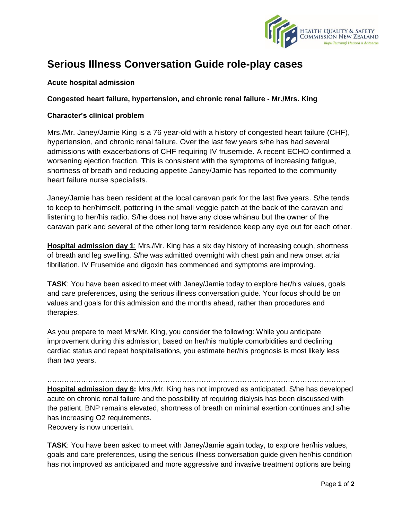

## **Serious Illness Conversation Guide role-play cases**

## **Acute hospital admission**

## **Congested heart failure, hypertension, and chronic renal failure - Mr./Mrs. King**

## **Character's clinical problem**

Mrs./Mr. Janey/Jamie King is a 76 year-old with a history of congested heart failure (CHF), hypertension, and chronic renal failure. Over the last few years s/he has had several admissions with exacerbations of CHF requiring IV frusemide. A recent ECHO confirmed a worsening ejection fraction. This is consistent with the symptoms of increasing fatigue, shortness of breath and reducing appetite Janey/Jamie has reported to the community heart failure nurse specialists.

Janey/Jamie has been resident at the local caravan park for the last five years. S/he tends to keep to her/himself, pottering in the small veggie patch at the back of the caravan and listening to her/his radio. S/he does not have any close whānau but the owner of the caravan park and several of the other long term residence keep any eye out for each other.

**Hospital admission day 1**: Mrs./Mr. King has a six day history of increasing cough, shortness of breath and leg swelling. S/he was admitted overnight with chest pain and new onset atrial fibrillation. IV Frusemide and digoxin has commenced and symptoms are improving.

**TASK**: You have been asked to meet with Janey/Jamie today to explore her/his values, goals and care preferences, using the serious illness conversation guide. Your focus should be on values and goals for this admission and the months ahead, rather than procedures and therapies.

As you prepare to meet Mrs/Mr. King, you consider the following: While you anticipate improvement during this admission, based on her/his multiple comorbidities and declining cardiac status and repeat hospitalisations, you estimate her/his prognosis is most likely less than two years.

…………………………………………………………………………………………………………….

**Hospital admission day 6:** Mrs./Mr. King has not improved as anticipated. S/he has developed acute on chronic renal failure and the possibility of requiring dialysis has been discussed with the patient. BNP remains elevated, shortness of breath on minimal exertion continues and s/he has increasing O2 requirements.

Recovery is now uncertain.

**TASK**: You have been asked to meet with Janey/Jamie again today, to explore her/his values, goals and care preferences, using the serious illness conversation guide given her/his condition has not improved as anticipated and more aggressive and invasive treatment options are being